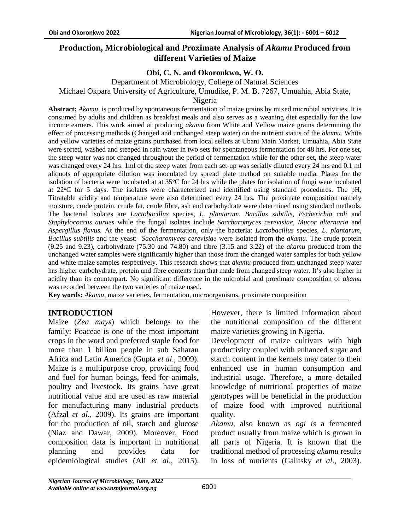# **Production, Microbiological and Proximate Analysis of** *Akamu* **Produced from different Varieties of Maize**

# **Obi, C. N. and Okoronkwo, W. O.**

Department of Microbiology, College of Natural Sciences Michael Okpara University of Agriculture, Umudike, P. M. B. 7267, Umuahia, Abia State,

Nigeria

**Abstract:** *Akamu,* is produced by spontaneous fermentation of maize grains by mixed microbial activities. It is consumed by adults and children as breakfast meals and also serves as a weaning diet especially for the low income earners. This work aimed at producing *akamu* from White and Yellow maize grains determining the effect of processing methods (Changed and unchanged steep water) on the nutrient status of the *akamu*. White and yellow varieties of maize grains purchased from local sellers at Ubani Main Market, Umuahia, Abia State were sorted, washed and steeped in rain water in two sets for spontaneous fermentation for 48 hrs. For one set, the steep water was not changed throughout the period of fermentation while for the other set, the steep water was changed every 24 hrs. 1ml of the steep water from each set-up was serially diluted every 24 hrs and 0.1 ml aliquots of appropriate dilution was inoculated by spread plate method on suitable media. Plates for the isolation of bacteria were incubated at at  $35^{\circ}$ C for 24 hrs while the plates for isolation of fungi were incubated at 22<sup>o</sup>C for 5 days. The isolates were characterized and identified using standard procedures. The pH, Titratable acidity and temperature were also determined every 24 hrs. The proximate composition namely moisture, crude protein, crude fat, crude fibre, ash and carbohydrate were determined using standard methods. The bacterial isolates are *Lactobacillus* species, *L. plantarum*, *Bacillus subtilis*, *Escherichia coli* and *Staphylococcus aurues* while the fungal isolates include *Saccharomyces cerevisiae*, *Mucor alternaria* and *Aspergillus flavus.* At the end of the fermentation, only the bacteria: *Lactobacillus* species, *L. plantarum*, *Bacillus subtilis* and the yeast: *Saccharomyces cerevisiae* were isolated from the *akamu*. The crude protein (9.25 and 9.23), carbohydrate (75.30 and 74.80) and fibre (3.15 and 3.22) of the *akamu* produced from the unchanged water samples were significantly higher than those from the changed water samples for both yellow and white maize samples respectively. This research shows that *akamu* produced from unchanged steep water has higher carbohydrate, protein and fibre contents than that made from changed steep water. It's also higher in acidity than its counterpart. No significant difference in the microbial and proximate composition of *akamu* was recorded between the two varieties of maize used.

**Key words:** *Akamu*, maize varieties, fermentation, microorganisms, proximate composition

## **INTRODUCTION**

Maize (*Zea mays*) which belongs to the family: Poaceae is one of the most important crops in the word and preferred staple food for more than 1 billion people in sub Saharan Africa and Latin America (Gupta *et al*., 2009). Maize is a multipurpose crop, providing food and fuel for human beings, feed for animals, poultry and livestock. Its grains have great nutritional value and are used as raw material for manufacturing many industrial products (Afzal *et al*., 2009). Its grains are important for the production of oil, starch and glucose (Niaz and Dawar, 2009). Moreover, Food composition data is important in nutritional planning and provides data for epidemiological studies (Ali *et al*., 2015).

However, there is limited information about the nutritional composition of the different maize varieties growing in Nigeria.

Development of maize cultivars with high productivity coupled with enhanced sugar and starch content in the kernels may cater to their enhanced use in human consumption and industrial usage. Therefore, a more detailed knowledge of nutritional properties of maize genotypes will be beneficial in the production of maize food with improved nutritional quality.

*Akamu,* also known as *ogi is* a fermented product usually from maize which is grown in all parts of Nigeria. It is known that the traditional method of processing *akamu* results in loss of nutrients (Galitsky *et al*., 2003).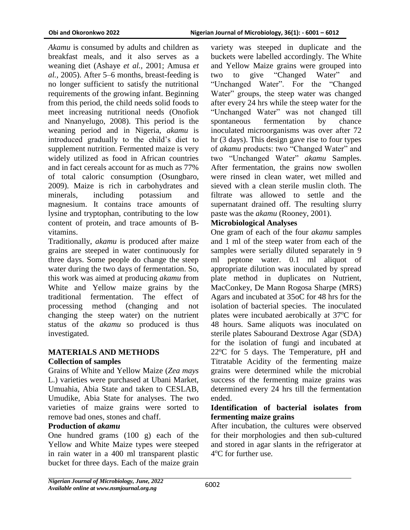*Akamu* is consumed by adults and children as breakfast meals, and it also serves as a weaning diet (Ashaye *et al.,* 2001; Amusa *et al.,* 2005). After 5–6 months, breast-feeding is no longer sufficient to satisfy the nutritional requirements of the growing infant. Beginning from this period, the child needs solid foods to meet increasing nutritional needs (Onofiok and Nnanyelugo, 2008). This period is the weaning period and in Nigeria, *akamu* is introduced gradually to the child's diet to supplement nutrition. Fermented maize is very widely utilized as food in African countries and in fact cereals account for as much as 77% of total caloric consumption (Osungbaro, 2009). Maize is rich in carbohydrates and minerals, including potassium and magnesium. It contains trace amounts of lysine and tryptophan, contributing to the low content of protein, and trace amounts of Bvitamins.

Traditionally, *akamu* is produced after maize grains are steeped in water continuously for three days. Some people do change the steep water during the two days of fermentation. So, this work was aimed at producing *akamu* from White and Yellow maize grains by the traditional fermentation. The effect of processing method (changing and not changing the steep water) on the nutrient status of the *akamu* so produced is thus investigated.

#### **MATERIALS AND METHODS Collection of samples**

Grains of White and Yellow Maize (*Zea mays*  L.) varieties were purchased at Ubani Market, Umuahia, Abia State and taken to CESLAB, Umudike, Abia State for analyses. The two varieties of maize grains were sorted to remove bad ones, stones and chaff.

#### **Production of** *akamu*

One hundred grams (100 g) each of the Yellow and White Maize types were steeped in rain water in a 400 ml transparent plastic bucket for three days. Each of the maize grain variety was steeped in duplicate and the buckets were labelled accordingly. The White and Yellow Maize grains were grouped into two to give "Changed Water" and "Unchanged Water". For the "Changed Water" groups, the steep water was changed after every 24 hrs while the steep water for the "Unchanged Water" was not changed till spontaneous fermentation by chance inoculated microorganisms was over after 72 hr (3 days). This design gave rise to four types of *akamu* products: two "Changed Water" and two "Unchanged Water" *akamu* Samples. After fermentation, the grains now swollen were rinsed in clean water, wet milled and sieved with a clean sterile muslin cloth. The filtrate was allowed to settle and the supernatant drained off. The resulting slurry paste was the *akamu* (Rooney, 2001).

### **Microbiological Analyses**

One gram of each of the four *akamu* samples and 1 ml of the steep water from each of the samples were serially diluted separately in 9 ml peptone water. 0.1 ml aliquot of appropriate dilution was inoculated by spread plate method in duplicates on Nutrient, MacConkey, De Mann Rogosa Sharpe (MRS) Agars and incubated at 35oC for 48 hrs for the isolation of bacterial species. The inoculated plates were incubated aerobically at 37<sup>o</sup>C for 48 hours. Same aliquots was inoculated on sterile plates Sabourand Dextrose Agar (SDA) for the isolation of fungi and incubated at  $22^{\circ}$ C for 5 days. The Temperature, pH and Titratable Acidity of the fermenting maize grains were determined while the microbial success of the fermenting maize grains was determined every 24 hrs till the fermentation ended.

### **Identification of bacterial isolates from fermenting maize grains**

After incubation, the cultures were observed for their morphologies and then sub-cultured and stored in agar slants in the refrigerator at 4 <sup>o</sup>C for further use.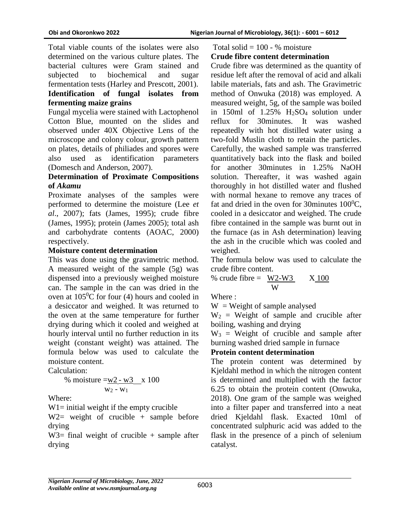Total viable counts of the isolates were also determined on the various culture plates. The bacterial cultures were Gram stained and subjected to biochemical and sugar fermentation tests (Harley and Prescott, 2001). **Identification of fungal isolates from fermenting maize grains**

Fungal mycelia were stained with Lactophenol Cotton Blue, mounted on the slides and observed under 40X Objective Lens of the microscope and colony colour, growth pattern on plates, details of philiades and spores were also used as identification parameters (Domesch and Anderson, 2007).

# **Determination of Proximate Compositions of** *Akamu*

Proximate analyses of the samples were performed to determine the moisture (Lee *et al*., 2007); fats (James, 1995); crude fibre (James, 1995); protein (James 2005); total ash and carbohydrate contents (AOAC, 2000) respectively.

### **Moisture content determination**

This was done using the gravimetric method. A measured weight of the sample (5g) was dispensed into a previously weighed moisture can. The sample in the can was dried in the oven at  $105^{\circ}$ C for four (4) hours and cooled in a desiccator and weighed. It was returned to the oven at the same temperature for further drying during which it cooled and weighed at hourly interval until no further reduction in its weight (constant weight) was attained. The formula below was used to calculate the moisture content.

Calculation:

% moisture =
$$
\frac{w2 - w3}{w_2 - w_1}
$$
x 100

Where:

 $W1$ = initial weight if the empty crucible

 $W2=$  weight of crucible + sample before drying

 $W3=$  final weight of crucible + sample after drying

### Total solid  $= 100 - %$  moisture **Crude fibre content determination**

Crude fibre was determined as the quantity of residue left after the removal of acid and alkali labile materials, fats and ash. The Gravimetric method of Onwuka (2018) was employed. A measured weight, 5g, of the sample was boiled in 150ml of 1.25% H2SO4 solution under reflux for 30minutes. It was washed repeatedly with hot distilled water using a two-fold Muslin cloth to retain the particles. Carefully, the washed sample was transferred quantitatively back into the flask and boiled for another 30minutes in 1.25% NaOH solution. Thereafter, it was washed again thoroughly in hot distilled water and flushed with normal hexane to remove any traces of fat and dried in the oven for 30minutes  $100^0C$ , cooled in a desiccator and weighed. The crude fibre contained in the sample was burnt out in the furnace (as in Ash determination) leaving the ash in the crucible which was cooled and weighed.

The formula below was used to calculate the crude fibre content.

% crude fibre = 
$$
\frac{W2-W3}{W}
$$
 X 100

Where :

 $W = Weight of sample analysed$ 

 $W_2$  = Weight of sample and crucible after boiling, washing and drying

 $W_3$  = Weight of crucible and sample after burning washed dried sample in furnace

## **Protein content determination**

The protein content was determined by Kjeldahl method in which the nitrogen content is determined and multiplied with the factor 6.25 to obtain the protein content (Onwuka, 2018). One gram of the sample was weighed into a filter paper and transferred into a neat dried Kjeldahl flask. Exacted 10ml of concentrated sulphuric acid was added to the flask in the presence of a pinch of selenium catalyst.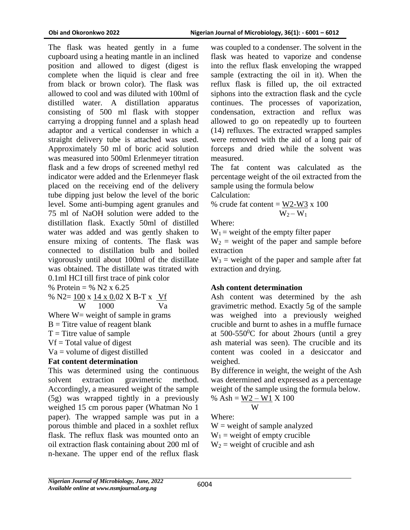The flask was heated gently in a fume cupboard using a heating mantle in an inclined position and allowed to digest (digest is complete when the liquid is clear and free from black or brown color). The flask was allowed to cool and was diluted with 100ml of distilled water. A distillation apparatus consisting of 500 ml flask with stopper carrying a dropping funnel and a splash head adaptor and a vertical condenser in which a straight delivery tube is attached was used. Approximately 50 ml of boric acid solution was measured into 500ml Erlenmeyer titration flask and a few drops of screened methyl red indicator were added and the Erlenmeyer flask placed on the receiving end of the delivery tube dipping just below the level of the boric level. Some anti-bumping agent granules and 75 ml of NaOH solution were added to the distillation flask. Exactly 50ml of distilled water was added and was gently shaken to ensure mixing of contents. The flask was connected to distillation bulb and boiled vigorously until about 100ml of the distillate was obtained. The distillate was titrated with 0.1ml HCI till first trace of pink color

% Protein = % N2 x  $6.25$ 

% N2= 100 x 14 x 0.02 X B-T x Vf

$$
W = 1000
$$
 Va

Where  $W=$  weight of sample in grams

$$
B =
$$
 Titre value of reagent blank

 $T =$ Titre value of sample

 $Vf = Total value of digest$ 

Va = volume of digest distilled

## **Fat content determination**

This was determined using the continuous solvent extraction gravimetric method. Accordingly, a measured weight of the sample (5g) was wrapped tightly in a previously weighed 15 cm porous paper (Whatman No 1 paper). The wrapped sample was put in a porous thimble and placed in a soxhlet reflux flask. The reflux flask was mounted onto an oil extraction flask containing about 200 ml of n-hexane. The upper end of the reflux flask

was coupled to a condenser. The solvent in the flask was heated to vaporize and condense into the reflux flask enveloping the wrapped sample (extracting the oil in it). When the reflux flask is filled up, the oil extracted siphons into the extraction flask and the cycle continues. The processes of vaporization, condensation, extraction and reflux was allowed to go on repeatedly up to fourteen (14) refluxes. The extracted wrapped samples were removed with the aid of a long pair of forceps and dried while the solvent was measured.

The fat content was calculated as the percentage weight of the oil extracted from the sample using the formula below

Calculation:

% crude fat content =  $\underline{W2-W3}$  x 100  $W_2 - W_1$ 

Where:

 $W_1$  = weight of the empty filter paper

 $W_2$  = weight of the paper and sample before extraction

 $W_3$  = weight of the paper and sample after fat extraction and drying.

## **Ash content determination**

Ash content was determined by the ash gravimetric method. Exactly 5g of the sample was weighed into a previously weighed crucible and burnt to ashes in a muffle furnace at  $500-550$ <sup>o</sup>C for about 2hours (until a grey ash material was seen). The crucible and its content was cooled in a desiccator and weighed.

By difference in weight, the weight of the Ash was determined and expressed as a percentage weight of the sample using the formula below.

% Ash = 
$$
\frac{W2 - W1}{W} X 100
$$

Where:

 $W = weight of sample analyzed$  $W_1$  = weight of empty crucible  $W_2$  = weight of crucible and ash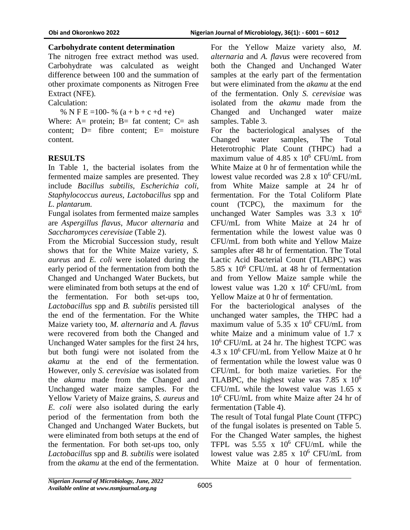## **Carbohydrate content determination**

The nitrogen free extract method was used. Carbohydrate was calculated as weight difference between 100 and the summation of other proximate components as Nitrogen Free Extract (NFE).

Calculation:

% N F E = 100 - %  $(a + b + c + d + e)$ 

Where:  $A=$  protein;  $B=$  fat content;  $C=$  ash content; D= fibre content; E= moisture content.

# **RESULTS**

In Table 1, the bacterial isolates from the fermented maize samples are presented. They include *Bacillus subtilis, Escherichia coli, Staphylococcus aureus, Lactobacillus* spp and *L. plantarum.*

Fungal isolates from fermented maize samples are *Aspergillus flavus*, *Mucor alternaria* and *Saccharomyces cerevisiae* (Table 2).

From the Microbial Succession study, result shows that for the White Maize variety, *S. aureus* and *E. coli* were isolated during the early period of the fermentation from both the Changed and Unchanged Water Buckets, but were eliminated from both setups at the end of the fermentation. For both set-ups too, *Lactobacillus* spp and *B. subtilis* persisted till the end of the fermentation. For the White Maize variety too, *M. alternaria* and *A. flavus*  were recovered from both the Changed and Unchanged Water samples for the first 24 hrs, but both fungi were not isolated from the *akamu* at the end of the fermentation. However, only *S. cerevisiae* was isolated from the *akamu* made from the Changed and Unchanged water maize samples. For the Yellow Variety of Maize grains, *S. aureus* and *E. coli* were also isolated during the early period of the fermentation from both the Changed and Unchanged Water Buckets, but were eliminated from both setups at the end of the fermentation. For both set-ups too, only *Lactobacillus* spp and *B. subtilis* were isolated from the *akamu* at the end of the fermentation.

For the Yellow Maize variety also, *M. alternaria* and *A. flavus* were recovered from both the Changed and Unchanged Water samples at the early part of the fermentation but were eliminated from the *akamu* at the end of the fermentation. Only *S. cerevisiae* was isolated from the *akamu* made from the Changed and Unchanged water maize samples. Table 3.

For the bacteriological analyses of the Changed water samples, The Total Heterotrophic Plate Count (THPC) had a maximum value of 4.85 x  $10^6$  CFU/mL from White Maize at 0 hr of fermentation while the lowest value recorded was  $2.8 \times 10^6$  CFU/mL from White Maize sample at 24 hr of fermentation. For the Total Coliform Plate count (TCPC), the maximum for the unchanged Water Samples was  $3.3 \times 10^6$ CFU/mL from White Maize at 24 hr of fermentation while the lowest value was 0 CFU/mL from both white and Yellow Maize samples after 48 hr of fermentation. The Total Lactic Acid Bacterial Count (TLABPC) was 5.85 x  $10^6$  CFU/mL at 48 hr of fermentation and from Yellow Maize sample while the lowest value was  $1.20 \times 10^6$  CFU/mL from Yellow Maize at 0 hr of fermentation.

For the bacteriological analyses of the unchanged water samples, the THPC had a maximum value of 5.35 x  $10^6$  CFU/mL from white Maize and a minimum value of 1.7 x 10<sup>6</sup> CFU/mL at 24 hr. The highest TCPC was 4.3 x  $10^6$  CFU/mL from Yellow Maize at 0 hr of fermentation while the lowest value was 0 CFU/mL for both maize varieties. For the TLABPC, the highest value was 7.85 x  $10^6$ CFU/mL while the lowest value was 1.65 x  $10^6$  CFU/mL from white Maize after 24 hr of fermentation (Table 4).

The result of Total fungal Plate Count (TFPC) of the fungal isolates is presented on Table 5. For the Changed Water samples, the highest TFPL was  $5.55 \times 10^6$  CFU/mL while the lowest value was  $2.85 \times 10^6$  CFU/mL from White Maize at 0 hour of fermentation.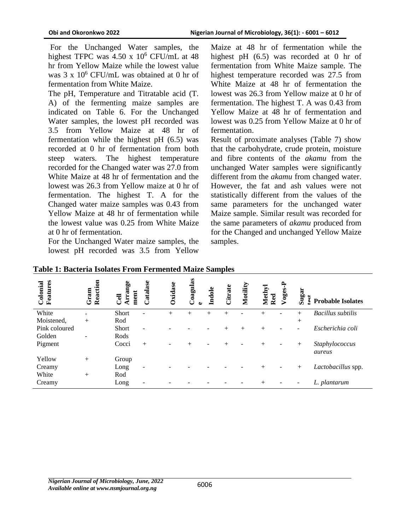For the Unchanged Water samples, the highest TFPC was  $4.50 \times 10^6$  CFU/mL at 48 hr from Yellow Maize while the lowest value was 3 x 10<sup>6</sup> CFU/mL was obtained at 0 hr of fermentation from White Maize.

The pH, Temperature and Titratable acid (T. A) of the fermenting maize samples are indicated on Table 6. For the Unchanged Water samples, the lowest pH recorded was 3.5 from Yellow Maize at 48 hr of fermentation while the highest pH (6.5) was recorded at 0 hr of fermentation from both steep waters. The highest temperature recorded for the Changed water was 27.0 from White Maize at 48 hr of fermentation and the lowest was 26.3 from Yellow maize at 0 hr of fermentation. The highest T. A for the Changed water maize samples was 0.43 from Yellow Maize at 48 hr of fermentation while the lowest value was 0.25 from White Maize at 0 hr of fermentation.

For the Unchanged Water maize samples, the lowest pH recorded was 3.5 from Yellow

Maize at 48 hr of fermentation while the highest pH  $(6.5)$  was recorded at 0 hr of fermentation from White Maize sample. The highest temperature recorded was 27.5 from White Maize at 48 hr of fermentation the lowest was 26.3 from Yellow maize at 0 hr of fermentation. The highest T. A was 0.43 from Yellow Maize at 48 hr of fermentation and lowest was 0.25 from Yellow Maize at 0 hr of fermentation.

Result of proximate analyses (Table 7) show that the carbohydrate, crude protein, moisture and fibre contents of the *akamu* from the unchanged Water samples were significantly different from the *akamu* from changed water. However, the fat and ash values were not statistically different from the values of the same parameters for the unchanged water Maize sample. Similar result was recorded for the same parameters of *akamu* produced from for the Changed and unchanged Yellow Maize samples.

| Features<br>Colonial | Reaction<br>Gram | rrange<br>ment<br><b>Cell</b> | ase<br>atal       | Oxidase | Coagulas | Indok | Citrate | Motility | Methyl<br>Red | oges. | Sugar<br>۲۵.             | <b>Probable Isolates</b> |
|----------------------|------------------|-------------------------------|-------------------|---------|----------|-------|---------|----------|---------------|-------|--------------------------|--------------------------|
| White                | $+$              | <b>Short</b>                  | -                 | $^{+}$  | $^{+}$   | $+$   | $^{+}$  |          | $^{+}$        |       | $+$                      | <b>Bacillus</b> subtilis |
| Moistened,           | $^{+}$           | Rod                           |                   |         |          |       |         |          |               |       | $+$                      |                          |
| Pink coloured        |                  | <b>Short</b>                  | $\qquad \qquad -$ |         |          |       | $^{+}$  | $^{+}$   | $^{+}$        |       | $\overline{\phantom{0}}$ | Escherichia coli         |
| Golden               |                  | Rods                          |                   |         |          |       |         |          |               |       |                          |                          |
| Pigment              |                  | Cocci                         | $+$               |         | $^{+}$   |       | $^{+}$  |          | $^{+}$        |       | $+$                      | Staphylococcus<br>aureus |
| Yellow               | $+$              | Group                         |                   |         |          |       |         |          |               |       |                          |                          |
| Creamy               |                  | Long                          | ۰                 |         |          |       |         |          | $^{+}$        |       | $^{+}$                   | Lactobacillus spp.       |
| White                | $^{+}$           | Rod                           |                   |         |          |       |         |          |               |       |                          |                          |
| Creamy               |                  | Long                          |                   |         |          |       |         |          | $^{+}$        |       | ٠                        | L. plantarum             |

**Table 1: Bacteria Isolates From Fermented Maize Samples**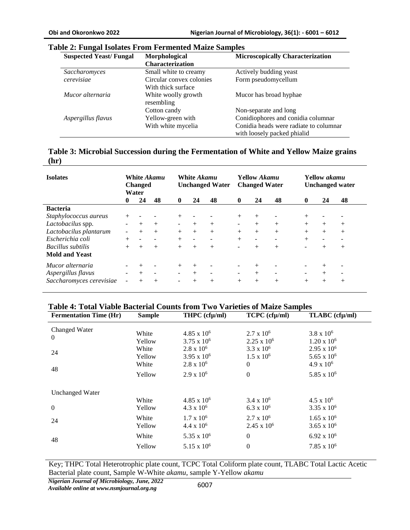| <b>Suspected Yeast/Fungal</b> | Morphological            | <b>Microscopically Characterization</b> |
|-------------------------------|--------------------------|-----------------------------------------|
|                               | <b>Characterization</b>  |                                         |
| Saccharomyces                 | Small white to creamy    | Actively budding yeast                  |
| cerevisiae                    | Circular convex colonies | Form pseudomycellum                     |
|                               | With thick surface       |                                         |
| Mucor alternaria              | White woolly growth      | Mucor has broad hyphae                  |
|                               | resembling               |                                         |
|                               | Cotton candy             | Non-separate and long                   |
| Aspergillus flavus            | Yellow-green with        | Conidiophores and conidia columnar      |
|                               | With white mycelia       | Conidia heads were radiate to columnar  |
|                               |                          | with loosely packed phialid             |

#### **Table 2: Fungal Isolates From Fermented Maize Samples**

| Table 3: Microbial Succession during the Fermentation of White and Yellow Maize grains |  |
|----------------------------------------------------------------------------------------|--|
| (hr)                                                                                   |  |

| <b>Isolates</b>          |                          | <b>Changed</b><br>Water  | White Akamu              |                          | White <i>Akamu</i><br><b>Unchanged Water</b> |                              | <b>Yellow Akamu</b><br><b>Changed Water</b> |                | <b>Yellow akamu</b><br><b>Unchanged water</b> |                              |        |                          |
|--------------------------|--------------------------|--------------------------|--------------------------|--------------------------|----------------------------------------------|------------------------------|---------------------------------------------|----------------|-----------------------------------------------|------------------------------|--------|--------------------------|
|                          | $\bf{0}$                 | 24                       | 48                       | $\mathbf{0}$             | 24                                           | 48                           | $\mathbf{0}$                                | 24             | 48                                            | $\mathbf 0$                  | 24     | 48                       |
| <b>Bacteria</b>          |                          |                          |                          |                          |                                              |                              |                                             |                |                                               |                              |        |                          |
| Staphylococcus aureus    | $^{+}$                   |                          |                          | $^{+}$                   |                                              |                              | $+$                                         | $+$            |                                               |                              |        |                          |
| Lactobacilus spp.        | $\sim$                   | $+$                      | $+$                      | $\overline{\phantom{a}}$ | $+$                                          | $+$                          | $\sim$                                      | $+$            | $+$                                           | $+$                          | $+$    | $+$                      |
| Lactobacilus plantarum   | $\blacksquare$           | $+$                      | $+$                      | $+$                      | $+$                                          | $+$                          | $+$                                         | $+$            | $+$                                           | $+$                          | $+$    | $^{+}$                   |
| Escherichia coli         | $+$                      | $\overline{\phantom{a}}$ |                          | $+$                      | $\overline{\phantom{a}}$                     |                              | $+$                                         | $\blacksquare$ |                                               | $+$                          |        |                          |
| Bacillus subtilis        | $+$                      | $+$                      | $+$                      | $+$                      | $^{+}$                                       | $+$                          |                                             | $+$            | $+$                                           |                              | $+$    | $+$                      |
| <b>Mold and Yeast</b>    |                          |                          |                          |                          |                                              |                              |                                             |                |                                               |                              |        |                          |
| Mucor alternaria         | -                        | $^{+}$                   | $\overline{\phantom{a}}$ | $^{+}$                   | $+$                                          | $\qquad \qquad \blacksquare$ |                                             | $^{+}$         |                                               |                              | $^{+}$ |                          |
| Aspergillus flavus       | $\overline{\phantom{0}}$ | $+$                      | $\sim$                   | $\overline{\phantom{a}}$ | $+$                                          | $\overline{\phantom{a}}$     | -                                           | $+$            | $\overline{\phantom{a}}$                      | $\qquad \qquad \blacksquare$ | $+$    | $\overline{\phantom{a}}$ |
| Saccharomyces cerevisiae | ÷                        | $^{+}$                   | $+$                      | $\sim$                   | $^{+}$                                       | $+$                          | $^{+}$                                      | $+$            | $+$                                           | $+$                          | $+$    | $+$                      |

#### **Table 4: Total Viable Bacterial Counts from Two Varieties of Maize Samples**

| <b>Fermentation Time (Hr)</b> | <b>Sample</b>            | THPC $(cfµ/ml)$                                         | TCPC (cfµ/ml)                                            | TLABC (cfµ/ml)                                           |
|-------------------------------|--------------------------|---------------------------------------------------------|----------------------------------------------------------|----------------------------------------------------------|
| Changed Water<br>$\theta$     | White<br>Yellow          | $4.85 \times 10^6$<br>$3.75 \times 10^6$                | $2.7 \times 10^6$<br>$2.25 \times 10^6$                  | $3.8 \times 10^6$<br>$1.20 \times 10^6$                  |
| 24                            | White<br>Yellow<br>White | $2.8 \times 10^6$<br>3.95 x $10^6$<br>$2.8 \times 10^6$ | $3.3 \times 10^6$<br>$1.5 \times 10^6$<br>$\overline{0}$ | $2.95 \times 10^6$<br>5.65 x $10^6$<br>$4.9 \times 10^6$ |
| 48                            | Yellow                   | $2.9 \times 10^6$                                       | $\theta$                                                 | 5.85 x $10^6$                                            |
| <b>Unchanged Water</b>        |                          |                                                         |                                                          |                                                          |
| $\mathbf{0}$                  | White<br>Yellow          | $4.85 \times 10^6$<br>$4.3 \times 10^6$                 | $3.4 \times 10^6$<br>$6.3 \times 10^{6}$                 | $4.5 \times 10^6$<br>$3.35 \times 10^{6}$                |
| 24                            | White<br>Yellow          | $1.7 \times 10^6$<br>$4.4 \times 10^6$                  | $2.7 \times 10^6$<br>$2.45 \times 10^6$                  | $1.65 \times 10^6$<br>$3.65 \times 10^{6}$               |
| 48                            | White                    | 5.35 x $10^6$                                           | $\overline{0}$                                           | $6.92 \times 10^{6}$                                     |
|                               | Yellow                   | $5.15 \times 10^{6}$                                    | $\boldsymbol{0}$                                         | $7.85 \times 10^6$                                       |

Key; THPC Total Heterotrophic plate count, TCPC Total Coliform plate count, TLABC Total Lactic Acetic Bacterial plate count, Sample W-White *akamu*, sample Y-Yellow *akamu*

*Nigerian Journal of Microbiology, June, 2022 Available online at www.nsmjournal.org.ng*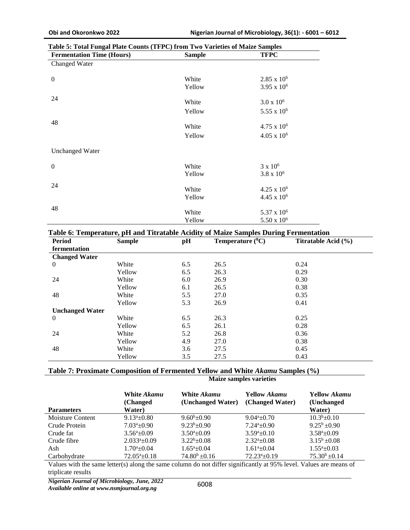| <b>Fermentation Time (Hours)</b> | <b>Sample</b> | <b>TFPC</b>            |
|----------------------------------|---------------|------------------------|
| Changed Water                    |               |                        |
| $\boldsymbol{0}$                 | White         | $2.85 \times 10^6$     |
|                                  | Yellow        | $3.95 \times 10^{6}$   |
| 24                               | White         | $3.0 \times 10^6$      |
|                                  | Yellow        | $5.55 \times 10^6$     |
| 48                               |               |                        |
|                                  | White         | $4.75 \times 10^{6}$   |
|                                  | Yellow        | $4.05 \times 10^6$     |
| <b>Unchanged Water</b>           |               |                        |
| $\boldsymbol{0}$                 | White         | $3 \times 10^6$        |
|                                  | Yellow        | $3.8 \times 10^{6}$    |
| 24                               | White         | $4.25 \times 10^6$     |
|                                  | Yellow        | $4.45 \times 10^6$     |
| 48                               | White         | 5.37 x 10 <sup>6</sup> |
|                                  | Yellow        | $5.50 \times 10^6$     |
|                                  |               |                        |

#### **Table 5: Total Fungal Plate Counts (TFPC) from Two Varieties of Maize Samples**

#### **Table 6: Temperature, pH and Titratable Acidity of Maize Samples During Fermentation**

| <b>Period</b>          | <b>Sample</b> | pH  | Temperature $(^{0}C)$ | Titratable Acid (%) |
|------------------------|---------------|-----|-----------------------|---------------------|
| fermentation           |               |     |                       |                     |
| <b>Changed Water</b>   |               |     |                       |                     |
| $\theta$               | White         | 6.5 | 26.5                  | 0.24                |
|                        | Yellow        | 6.5 | 26.3                  | 0.29                |
| 24                     | White         | 6.0 | 26.9                  | 0.30                |
|                        | Yellow        | 6.1 | 26.5                  | 0.38                |
| 48                     | White         | 5.5 | 27.0                  | 0.35                |
|                        | Yellow        | 5.3 | 26.9                  | 0.41                |
| <b>Unchanged Water</b> |               |     |                       |                     |
| $\mathbf{0}$           | White         | 6.5 | 26.3                  | 0.25                |
|                        | Yellow        | 6.5 | 26.1                  | 0.28                |
| 24                     | White         | 5.2 | 26.8                  | 0.36                |
|                        | Yellow        | 4.9 | 27.0                  | 0.38                |
| 48                     | White         | 3.6 | 27.5                  | 0.45                |
|                        | Yellow        | 3.5 | 27.5                  | 0.43                |

#### **Table 7: Proximate Composition of Fermented Yellow and White** *Akamu* **Samples (%)**

| <b>Parameters</b> | White <i>Akamu</i><br>(Changed)<br>Water) | White <i>Akamu</i><br>(Unchanged Water) | <b>Yellow Akamu</b><br>(Changed Water) | <b>Yellow Akamu</b><br>(Unchanged)<br>Water) |
|-------------------|-------------------------------------------|-----------------------------------------|----------------------------------------|----------------------------------------------|
| Moisture Content  | $9.13^a \pm 0.80$                         | $9.60^b \pm 0.90$                       | $9.04^a \pm 0.70$                      | $10.3^b + 0.10$                              |
| Crude Protein     | $7.03^{\mathrm{a}}\pm0.90$                | $9.23b + 0.90$                          | $7.24^a \pm 0.90$                      | $9.25^b \pm 0.90$                            |
| Crude fat         | $3.56^a \pm 0.09$                         | $3.50^a \pm 0.09$                       | $3.59^a \pm 0.10$                      | $3.58^{\mathrm{a}} \pm 0.09$                 |
| Crude fibre       | $2.033^{\mathrm{a}}\pm0.09$               | $3.22^b + 0.08$                         | $2.32^{\mathrm{a}}$ + 0.08             | $3.15^b \pm 0.08$                            |
| Ash               | $1.70^{\circ}$ + 0.04                     | $1.65^{\mathrm{a}}$ + 0.04              | $1.61^{\mathrm{a}}\pm 0.04$            | $1.55^{\mathrm{a}}$ + 0.03                   |
| Carbohydrate      | $72.05^{\mathrm{a}}\pm0.18$               | $74.80^b \pm 0.16$                      | $72.23^{\mathrm{a}}\pm0.19$            | $75.30^b \pm 0.14$                           |

**Maize samples varieties**

Values with the same letter(s) along the same column do not differ significantly at 95% level. Values are means of triplicate results

*Nigerian Journal of Microbiology, June, 2022*

*Available online at www.nsmjournal.org.ng*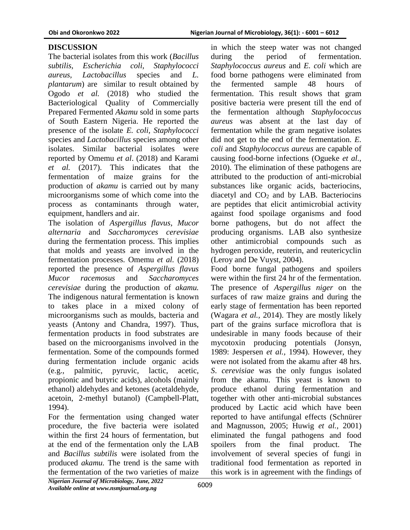# **DISCUSSION**

The bacterial isolates from this work (*Bacillus subtilis, Escherichia coli, Staphylococci aureus, Lactobacillus* species and *L. plantarum*) are similar to result obtained by Ogodo *et al.* (2018) who studied the Bacteriological Quality of Commercially Prepared Fermented *Akamu* sold in some parts of South Eastern Nigeria. He reported the presence of the isolate *E. coli, Staphylococci*  species and *Lactobacillus* species among other isolates. Similar bacterial isolates were reported by Omemu *et al*. (2018) and Karami *et al.* (2017). This indicates that the fermentation of maize grains for the production of *akamu* is carried out by many microorganisms some of which come into the process as contaminants through water, equipment, handlers and air.

The isolation of *Aspergillus flavus*, *Mucor alternaria* and *Saccharomyces cerevisiae*  during the fermentation process. This implies that molds and yeasts are involved in the fermentation processes. Omemu *et al.* (2018) reported the presence of *Aspergillus flavus Mucor racemosus* and *Saccharomyces cerevisiae* during the production of *akamu.*  The indigenous natural fermentation is known to takes place in a mixed colony of microorganisms such as moulds, bacteria and yeasts (Antony and Chandra, 1997). Thus, fermentation products in food substrates are based on the microorganisms involved in the fermentation. Some of the compounds formed during fermentation include organic acids (e.g., palmitic, pyruvic, lactic, acetic, propionic and butyric acids), alcohols (mainly ethanol) aldehydes and ketones (acetaldehyde, acetoin, 2-methyl butanol) (Campbell-Platt, 1994).

For the fermentation using changed water procedure, the five bacteria were isolated within the first 24 hours of fermentation, but at the end of the fermentation only the LAB and *Bacillus subtilis* were isolated from the produced *akamu.* The trend is the same with the fermentation of the two varieties of maize

in which the steep water was not changed during the period of fermentation. *Staphylococcus aureus* and *E. coli* which are food borne pathogens were eliminated from the fermented sample 48 hours of fermentation. This result shows that gram positive bacteria were present till the end of the fermentation although *Staphylococcus aureus* was absent at the last day of fermentation while the gram negative isolates did not get to the end of the fermentation. *E. coli* and *Staphylococcus aureus* are capable of causing food-borne infections (Ogueke *et al.,* 2010). The elimination of these pathogens are attributed to the production of anti-microbial substances like organic acids, bacteriocins, diacetyl and  $CO<sub>2</sub>$  and by LAB. Bacteriocins are peptides that elicit antimicrobial activity against food spoilage organisms and food borne pathogens, but do not affect the producing organisms. LAB also synthesize other antimicrobial compounds such as hydrogen peroxide, reuterin, and reutericyclin (Leroy and De Vuyst, 2004).

Food borne fungal pathogens and spoilers were within the first 24 hr of the fermentation. The presence of *Aspergillus niger* on the surfaces of raw maize grains and during the early stage of fermentation has been reported (Wagara *et al.,* 2014). They are mostly likely part of the grains surface microflora that is undesirable in many foods because of their mycotoxin producing potentials (Jonsyn, 1989: Jespersen *et al.,* 1994). However, they were not isolated from the akamu after 48 hrs. *S*. *cerevisiae* was the only fungus isolated from the akamu. This yeast is known to produce ethanol during fermentation and together with other anti-microbial substances produced by Lactic acid which have been reported to have antifungal effects (Schnürer and Magnusson, 2005; Huwig *et al.,* 2001) eliminated the fungal pathogens and food spoilers from the final product. The involvement of several species of fungi in traditional food fermentation as reported in this work is in agreement with the findings of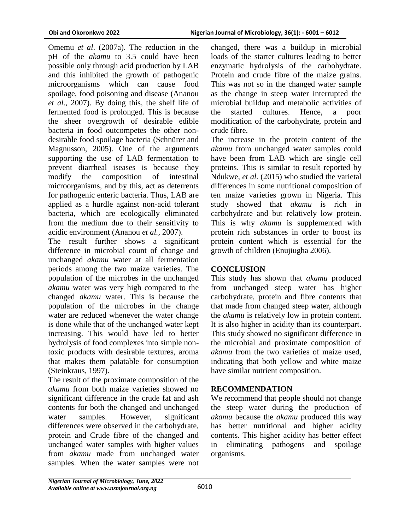Omemu *et al*. (2007a). The reduction in the pH of the *akamu* to 3.5 could have been possible only through acid production by LAB and this inhibited the growth of pathogenic microorganisms which can cause food spoilage, food poisoning and disease (Ananou *et al.,* 2007). By doing this, the shelf life of fermented food is prolonged. This is because the sheer overgrowth of desirable edible bacteria in food outcompetes the other nondesirable food spoilage bacteria (Schnürer and Magnusson, 2005). One of the arguments supporting the use of LAB fermentation to prevent diarrheal iseases is because they modify the composition of intestinal microorganisms, and by this, act as deterrents for pathogenic enteric bacteria. Thus, LAB are applied as a hurdle against non-acid tolerant bacteria, which are ecologically eliminated from the medium due to their sensitivity to acidic environment (Ananou *et al.,* 2007).

The result further shows a significant difference in microbial count of change and unchanged *akamu* water at all fermentation periods among the two maize varieties. The population of the microbes in the unchanged *akamu* water was very high compared to the changed *akamu* water. This is because the population of the microbes in the change water are reduced whenever the water change is done while that of the unchanged water kept increasing. This would have led to better hydrolysis of food complexes into simple nontoxic products with desirable textures, aroma that makes them palatable for consumption (Steinkraus, 1997).

The result of the proximate composition of the *akamu* from both maize varieties showed no significant difference in the crude fat and ash contents for both the changed and unchanged water samples. However, significant differences were observed in the carbohydrate, protein and Crude fibre of the changed and unchanged water samples with higher values from *akamu* made from unchanged water samples. When the water samples were not changed, there was a buildup in microbial loads of the starter cultures leading to better enzymatic hydrolysis of the carbohydrate. Protein and crude fibre of the maize grains. This was not so in the changed water sample as the change in steep water interrupted the microbial buildup and metabolic activities of the started cultures. Hence, a poor modification of the carbohydrate, protein and crude fibre.

The increase in the protein content of the *akamu* from unchanged water samples could have been from LAB which are single cell proteins. This is similar to result reported by Ndukwe, *et al.* (2015) who studied the varietal differences in some nutritional composition of ten maize varieties grown in Nigeria. This study showed that *akamu* is rich in carbohydrate and but relatively low protein. This is why *akamu* is supplemented with protein rich substances in order to boost its protein content which is essential for the growth of children (Enujiugha 2006).

## **CONCLUSION**

This study has shown that *akamu* produced from unchanged steep water has higher carbohydrate, protein and fibre contents that that made from changed steep water, although the *akamu* is relatively low in protein content. It is also higher in acidity than its counterpart. This study showed no significant difference in the microbial and proximate composition of *akamu* from the two varieties of maize used, indicating that both yellow and white maize have similar nutrient composition.

#### **RECOMMENDATION**

We recommend that people should not change the steep water during the production of *akamu* because the *akamu* produced this way has better nutritional and higher acidity contents. This higher acidity has better effect in eliminating pathogens and spoilage organisms.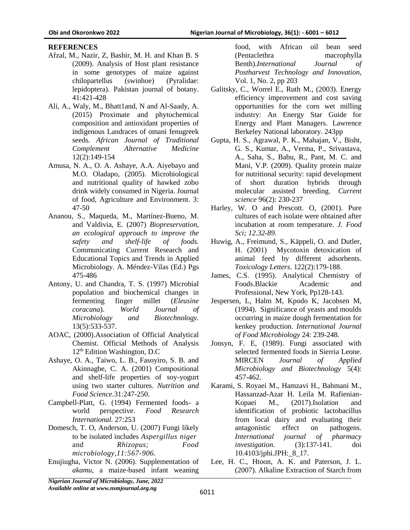#### **REFERENCES**

- Afzal, M., Nazir, Z, Bashir, M. H. and Khan B. S (2009). Analysis of Host plant resistance in some genotypes of maize against chilopartellus (swinhoe) (Pyralidae: lepidoptera). Pakistan journal of botany. 41:421-428
- Ali, A., Waly, M., Bhatt1and, N and Al-Saady, A. (2015) Proximate and phytochemical composition and antioxidant properties of indigenous Landraces of omani fenugreek seeds*. African Journal of Traditional Complement Alternative Medicine* 12(2):149-154
- Amusa, N. A., O. A. Ashaye, A.A. Aiyebayo and M.O. Oladapo, (2005). Microbiological and nutritional quality of hawked zobo drink widely consumed in Nigeria. Journal of food, Agriculture and Environment. 3: 47-50
- Ananou, S., Maqueda, M., Martínez-Bueno, M. and Valdivia, E. (2007) *Biopreservation, an ecological approach to improve the safety and shelf-life of foods.*  Communicating Current Research and Educational Topics and Trends in Applied Microbiology. A. Méndez-Vilas (Ed.) Pgs 475-486
- Antony, U. and Chandra, T. S. (1997) Microbial population and biochemical changes in fermenting finger millet (*Eleusine coracana*). *World Journal of Microbiology and Biotechnology.*  13(5):533-537.
- AOAC, (2000).Association of Official Analytical Chemist. Official Methods of Analysis  $12<sup>th</sup>$  Edition Washington, D.C
- Ashaye, O. A., Taiwo, L. B., Fasoyiro, S. B. and Akinnagbe, C. A. (2001) Compositional and shelf-life properties of soy-yogurt using two starter cultures. *Nutrition and Food Science.*31:247-250.
- Campbell-Platt, G. (1994) Fermented foods- a world perspective. *Food Research International.* 27:253
- Domesch, T. O, Anderson, U. (2007) Fungi likely to be isolated includes *[Aspergillus](http://www.scialert.net/asci/result.php?searchin=Keywords&cat=&ascicat=ALL&Submit=Search&keyword=Aspergillus+niger) niger* and *Rhizopus; Food microbiology,11:567-906.*
- Enujiugha, Victor N. (2006). Supplementation of *akamu*, a maize-based infant weaning

food, with African oil bean seed (Pentaclethra macrophylla Benth).*International Journal of Postharvest Technology and Innovation*, Vol. 1, No. 2, pp 203

- Galitsky, C., Worrel E., Ruth M., (2003). Energy efficiency improvement and cost saving opportunities for the corn wet milling industry: An Energy Star Guide for Energy and Plant Managers. Lawrence Berkeley National laboratory. 243pp
- Gupta, H. S., Agrawal, P. K., Mahajan, V., Bisht, G. S., Kumar, A., Verma, P., Srivastava, A., Saha, S., Babu, R., Pant, M. C. and Mani, V.P. (2009). Quality protein maize for nutritional security: rapid development of short duration hybrids through molecular assisted breeding. *Current science* 96(2): 230-237
- Harley, W. O and Prescott. O, (2001). Pure cultures of each isolate were obtained after incubation at room temperature. *J. Food Sci; 12.32-89.*
- Huwig, A., Freimund, S., Käppeli, O. and Dutler, H. (2001) Mycotoxin detoxication of animal feed by different adsorbents. *Toxicology Letters*. 122(2):179-188.
- James, C.S. (1995). Analytical Chemistry of Foods.Blackie Academic and Professional, New York, Pp128-143.
- Jespersen, L, Halm M, Kpodo K, Jacobsen M, (1994). Significance of yeasts and moulds occurring in maize dough fermentation for kenkey production. *International Journal of Food Microbiology* 24: 239-248.
- Jonsyn, F. E, (1989). Fungi associated with selected fermented foods in Sierria Leone. MIRCEN *Journal of Applied Microbiology and Biotechnology* 5(4): 457-462.
- Karami, S. Royaei M., Hamzavi H., Bahmani M., Hassanzad-Azar H. Leila M. Rafienian-Kopaei M., (2017).Isolation and identification of probiotic lactobacillus from local dairy and evaluating their antagonistic effect on pathogens. *International journal of pharmacy investigation*. (3):137-141. doi 10.4103/jphi.JPH:\_8\_17.
- Lee, H. C., Htoon, A. K. and Paterson, J. L. (2007). Alkaline Extraction of Starch from

*Nigerian Journal of Microbiology, June, 2022 Available online at www.nsmjournal.org.ng*